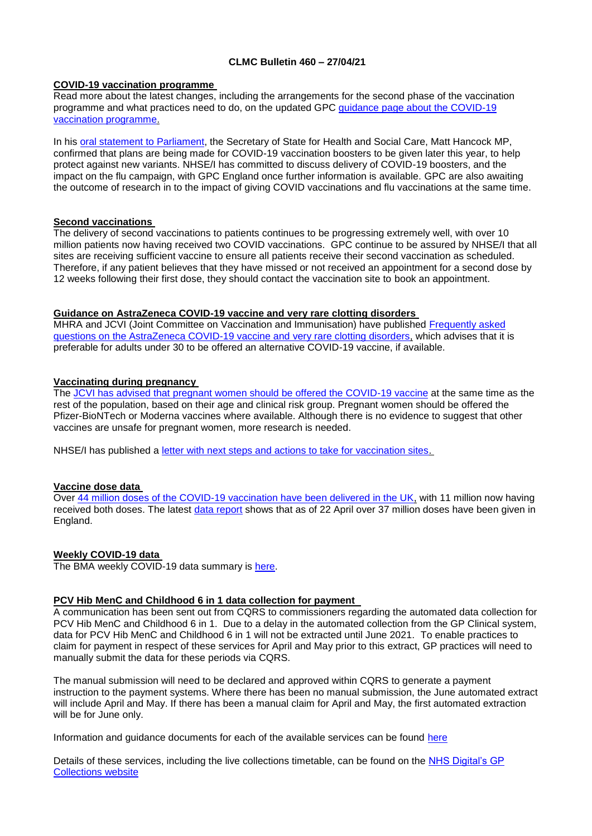## **CLMC Bulletin 460 – 27/04/21**

### **COVID-19 vaccination programme**

Read more about the latest changes, including the arrangements for the second phase of the vaccination programme and what practices need to do, on the updated GPC [guidance page about the COVID-19](https://www.bma.org.uk/advice-and-support/covid-19/gp-practices/covid-19-vaccination-programme)  [vaccination programme.](https://www.bma.org.uk/advice-and-support/covid-19/gp-practices/covid-19-vaccination-programme)

In his [oral statement to Parliament,](https://www.gov.uk/government/speeches/statement-on-vaccination-progress-and-new-variants) the Secretary of State for Health and Social Care, Matt Hancock MP, confirmed that plans are being made for COVID-19 vaccination boosters to be given later this year, to help protect against new variants. NHSE/I has committed to discuss delivery of COVID-19 boosters, and the impact on the flu campaign, with GPC England once further information is available. GPC are also awaiting the outcome of research in to the impact of giving COVID vaccinations and flu vaccinations at the same time.

### **Second vaccinations**

The delivery of second vaccinations to patients continues to be progressing extremely well, with over 10 million patients now having received two COVID vaccinations. GPC continue to be assured by NHSE/I that all sites are receiving sufficient vaccine to ensure all patients receive their second vaccination as scheduled. Therefore, if any patient believes that they have missed or not received an appointment for a second dose by 12 weeks following their first dose, they should contact the vaccination site to book an appointment.

### **Guidance on AstraZeneca COVID-19 vaccine and very rare clotting disorders**

MHRA and JCVI (Joint Committee on Vaccination and Immunisation) have published [Frequently asked](https://www.england.nhs.uk/coronavirus/publication/frequently-asked-questions-mhra-and-jcvi-guidance-on-astrazeneca-covid-19-vaccine-and-very-rare-clotting-disorders/)  [questions on the AstraZeneca COVID-19 vaccine and very rare clotting disorders,](https://www.england.nhs.uk/coronavirus/publication/frequently-asked-questions-mhra-and-jcvi-guidance-on-astrazeneca-covid-19-vaccine-and-very-rare-clotting-disorders/) which advises that it is preferable for adults under 30 to be offered an alternative COVID-19 vaccine, if available.

### **Vaccinating during pregnancy**

The [JCVI has advised that pregnant women should be offered the COVID-19 vaccine](https://www.gov.uk/government/news/jcvi-issues-new-advice-on-covid-19-vaccination-for-pregnant-women) at the same time as the rest of the population, based on their age and clinical risk group. Pregnant women should be offered the Pfizer-BioNTech or Moderna vaccines where available. Although there is no evidence to suggest that other vaccines are unsafe for pregnant women, more research is needed.

NHSE/I has published a [letter with next steps and actions to take for vaccination sites.](https://www.england.nhs.uk/coronavirus/publication/jcvi-announcement-regarding-covid-19-vaccination-during-pregnancy-and-next-steps/)

# **Vaccine dose data**

Over [44 million doses of the COVID-19 vaccination have been delivered in the UK,](https://coronavirus.data.gov.uk/details/vaccinations) with 11 million now having received both doses. The latest [data report](https://www.england.nhs.uk/statistics/statistical-work-areas/covid-19-vaccinations/) shows that as of 22 April over 37 million doses have been given in England.

# **Weekly COVID-19 data**

The BMA weekly COVID-19 data summary is [here.](https://www.clevelandlmc.org.uk/website/IGP367/files/Weekly%20Covid-19%20data%20update.pptx)

# **PCV Hib MenC and Childhood 6 in 1 data collection for payment**

A communication has been sent out from CQRS to commissioners regarding the automated data collection for PCV Hib MenC and Childhood 6 in 1. Due to a delay in the automated collection from the GP Clinical system, data for PCV Hib MenC and Childhood 6 in 1 will not be extracted until June 2021. To enable practices to claim for payment in respect of these services for April and May prior to this extract, GP practices will need to manually submit the data for these periods via CQRS.

The manual submission will need to be declared and approved within CQRS to generate a payment instruction to the payment systems. Where there has been no manual submission, the June automated extract will include April and May. If there has been a manual claim for April and May, the first automated extraction will be for June only.

Information and guidance documents for each of the available services can be found [here](https://welcome.cqrs.nhs.uk/serviceinfo.html)

Details of these services, including the live collections timetable, can be found on the [NHS Digital's GP](https://digital.nhs.uk/GP-collections)  [Collections website](https://digital.nhs.uk/GP-collections)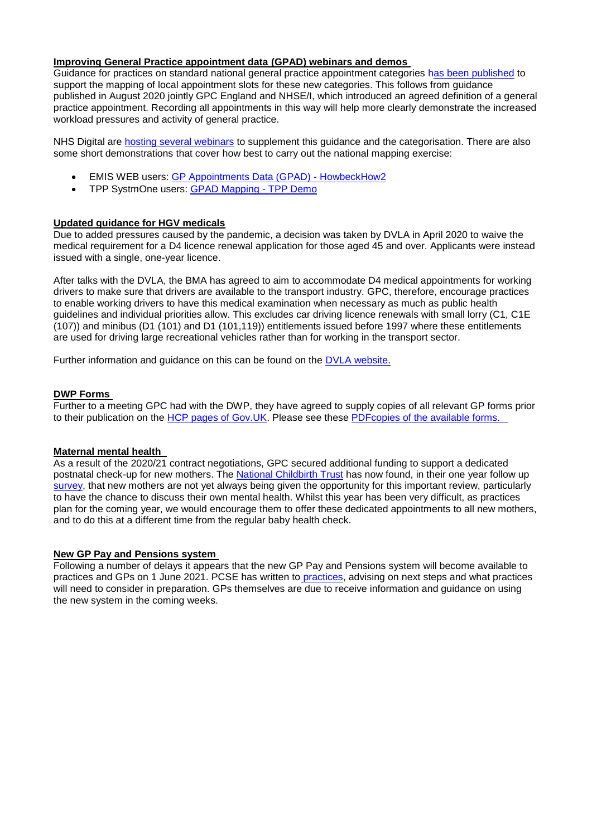# **Improving General Practice appointment data (GPAD) webinars and demos**

Guidance for practices on standard national general practice appointment categories [has been published](https://www.england.nhs.uk/publication/gpad-appointment-categorisation-guidance-2021-22/) to support the mapping of local appointment slots for these new categories. This follows from guidance published in August 2020 jointly GPC England and NHSE/I, which introduced an agreed definition of a general practice appointment. Recording all appointments in this way will help more clearly demonstrate the increased workload pressures and activity of general practice.

NHS Digital are [hosting several webinars](https://crm.digital.nhs.uk/clickdimensions/?clickpage=6qqd1i5weeuoewaisabha) to supplement this guidance and the categorisation. There are also some short demonstrations that cover how best to carry out the national mapping exercise:

- EMIS WEB users: [GP Appointments Data \(GPAD\) -](https://www.howbeckhow2.co.uk/courses/gp-appointments-data-gpad/) HowbeckHow2
- TPP SystmOne users: [GPAD Mapping -](https://drive.google.com/drive/folders/1QESZefb8U-GSR3k5qGctnPwToL7w1z2r) TPP Demo

### **Updated guidance for HGV medicals**

Due to added pressures caused by the pandemic, a decision was taken by DVLA in April 2020 to waive the medical requirement for a D4 licence renewal application for those aged 45 and over. Applicants were instead issued with a single, one-year licence.

After talks with the DVLA, the BMA has agreed to aim to accommodate D4 medical appointments for working drivers to make sure that drivers are available to the transport industry. GPC, therefore, encourage practices to enable working drivers to have this medical examination when necessary as much as public health guidelines and individual priorities allow. This excludes car driving licence renewals with small lorry (C1, C1E (107)) and minibus (D1 (101) and D1 (101,119)) entitlements issued before 1997 where these entitlements are used for driving large recreational vehicles rather than for working in the transport sector.

Further information and guidance on this can be found on the [DVLA website.](https://www.gov.uk/guidance/dvla-coronavirus-covid-19-update)

#### **DWP Forms**

Further to a meeting GPC had with the DWP, they have agreed to supply copies of all relevant GP forms prior to their publication on the HCP pages of Gov. UK. Please see these PDFcopies of the available forms.

#### **Maternal mental health**

As a result of the 2020/21 contract negotiations, GPC secured additional funding to support a dedicated postnatal check-up for new mothers. The [National Childbirth Trust](https://www.nct.org.uk/) has now found, in their one year follow up [survey,](https://www.nct.org.uk/about-us/media/news/nct-finds-quarter-new-mothers-are-not-asked-about-their-mental-health) that new mothers are not yet always being given the opportunity for this important review, particularly to have the chance to discuss their own mental health. Whilst this year has been very difficult, as practices plan for the coming year, we would encourage them to offer these dedicated appointments to all new mothers, and to do this at a different time from the regular baby health check.

#### **New GP Pay and Pensions system**

Following a number of delays it appears that the new GP Pay and Pensions system will become available to practices and GPs on 1 June 2021. PCSE has written to [practices,](https://pcsengland.co.uk/rv/ff0077ce33960957c7bc38a9b743aec61f092711) advising on next steps and what practices will need to consider in preparation. GPs themselves are due to receive information and guidance on using the new system in the coming weeks.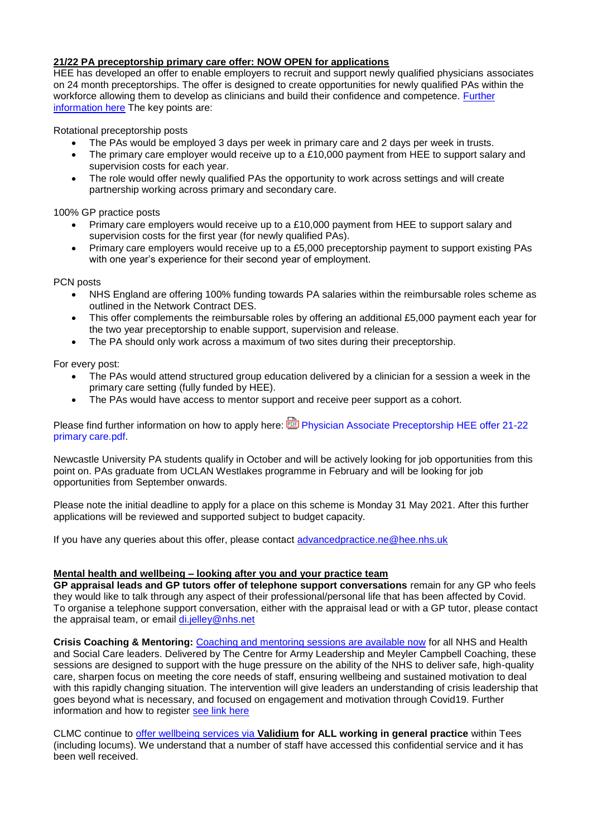# **21/22 PA preceptorship primary care offer: NOW OPEN for applications**

HEE has developed an offer to enable employers to recruit and support newly qualified physicians associates on 24 month preceptorships. The offer is designed to create opportunities for newly qualified PAs within the workforce allowing them to develop as clinicians and build their confidence and competence. [Further](https://www.clevelandlmc.org.uk/website/IGP367/files/PA.docx)  [information](https://www.clevelandlmc.org.uk/website/IGP367/files/PA.docx) here The key points are:

Rotational preceptorship posts

- The PAs would be employed 3 days per week in primary care and 2 days per week in trusts.
- The primary care employer would receive up to a £10,000 payment from HEE to support salary and supervision costs for each year.
- The role would offer newly qualified PAs the opportunity to work across settings and will create partnership working across primary and secondary care.

100% GP practice posts

- Primary care employers would receive up to a £10,000 payment from HEE to support salary and supervision costs for the first year (for newly qualified PAs).
- Primary care employers would receive up to a £5,000 preceptorship payment to support existing PAs with one year's experience for their second year of employment.

#### PCN posts

- NHS England are offering 100% funding towards PA salaries within the reimbursable roles scheme as outlined in the Network Contract DES.
- This offer complements the reimbursable roles by offering an additional £5,000 payment each year for the two year preceptorship to enable support, supervision and release.
- The PA should only work across a maximum of two sites during their preceptorship.

For every post:

- The PAs would attend structured group education delivered by a clinician for a session a week in the primary care setting (fully funded by HEE).
- The PAs would have access to mentor support and receive peer support as a cohort.

Please find further information on how to apply here: **D** Physician Associate Preceptorship HEE offer 21-22 [primary care.pdf.](https://healtheducationengland.sharepoint.com/:b:/s/FacultyofAdvancedPractice-NE/ESjhhZUWFM5Oj9aJrLQs0t0BIwsR4d6m8EcgaMVU-u_2nQ)

Newcastle University PA students qualify in October and will be actively looking for job opportunities from this point on. PAs graduate from UCLAN Westlakes programme in February and will be looking for job opportunities from September onwards.

Please note the initial deadline to apply for a place on this scheme is Monday 31 May 2021. After this further applications will be reviewed and supported subject to budget capacity.

If you have any queries about this offer, please contact [advancedpractice.ne@hee.nhs.uk](mailto:advancedpractice.ne@hee.nhs.uk)

# **Mental health and wellbeing – looking after you and your practice team**

**GP appraisal leads and GP tutors offer of telephone support conversations** remain for any GP who feels they would like to talk through any aspect of their professional/personal life that has been affected by Covid. To organise a telephone support conversation, either with the appraisal lead or with a GP tutor, please contact the appraisal team, or email [di.jelley@nhs.net](mailto:di.jelley@nhs.net)

**Crisis Coaching & Mentoring:** [Coaching and mentoring sessions are available now](https://nhs.us5.list-manage.com/track/click?u=2bb00c8eecef5a74724810a2d&id=5697e08ec5&e=1f76f620d3) for all NHS and Health and Social Care leaders. Delivered by The Centre for Army Leadership and Meyler Campbell Coaching, these sessions are designed to support with the huge pressure on the ability of the NHS to deliver safe, high-quality care, sharpen focus on meeting the core needs of staff, ensuring wellbeing and sustained motivation to deal with this rapidly changing situation. The intervention will give leaders an understanding of crisis leadership that goes beyond what is necessary, and focused on engagement and motivation through Covid19. Further information and how to register [see link here](https://people.nhs.uk/support-for-leaders/coaching-and-mentoring-for-leaders/)

CLMC continue to [offer wellbeing services via](https://www.clevelandlmc.org.uk/page1.aspx?p=20&t=2) **Validium for ALL working in general practice** within Tees (including locums). We understand that a number of staff have accessed this confidential service and it has been well received.